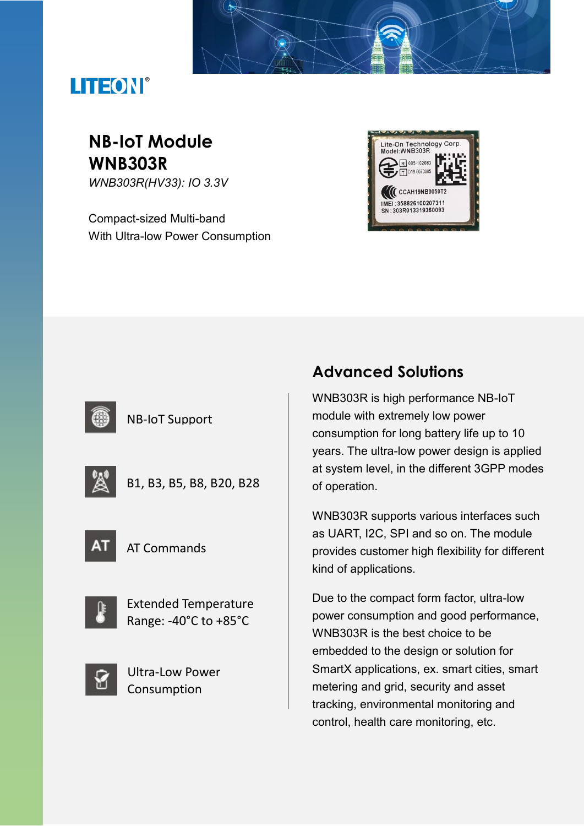# LITEON®

# **NB-IoT Module WNB303R**

*WNB303R(HV33): IO 3.3V*

Compact-sized Multi-band With Ultra-low Power Consumption





### NB-IoT Support

|--|--|

B1, B3, B5, B8, B20, B28



AT Commands



Extended Temperature Range: -40°C to +85°C



Ultra-Low Power Consumption

## **Advanced Solutions**

WNB303R is high performance NB-IoT module with extremely low power consumption for long battery life up to 10 years. The ultra-low power design is applied at system level, in the different 3GPP modes of operation.

WNB303R supports various interfaces such as UART, I2C, SPI and so on. The module provides customer high flexibility for different kind of applications.

Due to the compact form factor, ultra-low power consumption and good performance, WNB303R is the best choice to be embedded to the design or solution for SmartX applications, ex. smart cities, smart metering and grid, security and asset tracking, environmental monitoring and control, health care monitoring, etc.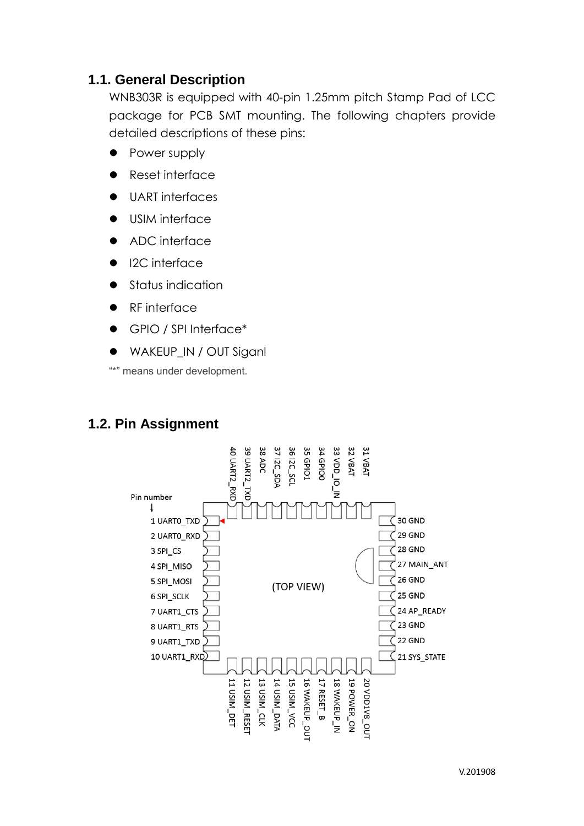### **1.1. General Description**

WNB303R is equipped with 40-pin 1.25mm pitch Stamp Pad of LCC package for PCB SMT mounting. The following chapters provide detailed descriptions of these pins:

- Power supply
- ⚫ Reset interface
- ⚫ UART interfaces
- ⚫ USIM interface
- ADC interface
- I2C interface
- ⚫ Status indication
- ⚫ RF interface
- ⚫ GPIO / SPI Interface\*
- WAKEUP\_IN / OUT Siganl

"\*" means under development.

## **1.2. Pin Assignment**

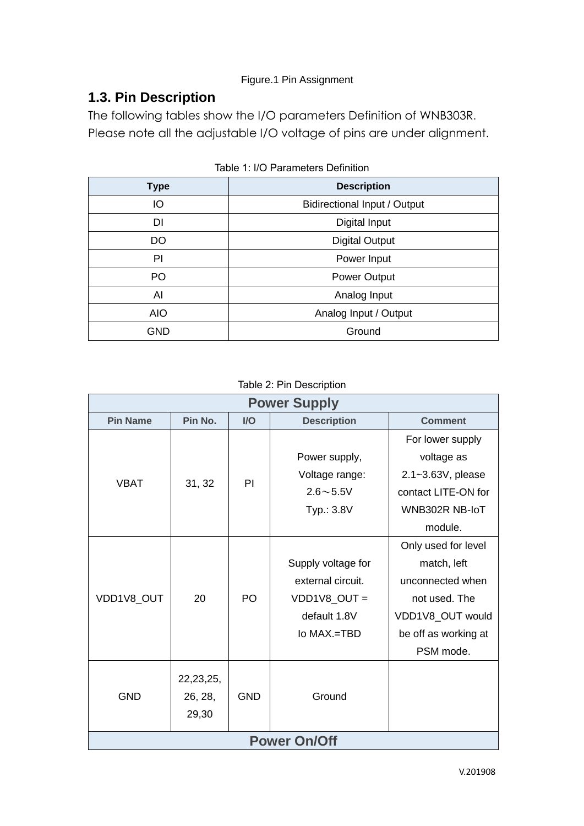#### Figure.1 Pin Assignment

## **1.3. Pin Description**

The following tables show the I/O parameters Definition of WNB303R. Please note all the adjustable I/O voltage of pins are under alignment.

| <b>Type</b> | <b>Description</b>                  |  |  |
|-------------|-------------------------------------|--|--|
| IO          | <b>Bidirectional Input / Output</b> |  |  |
| DI          | Digital Input                       |  |  |
| DO          | <b>Digital Output</b>               |  |  |
| PI          | Power Input                         |  |  |
| PO          | <b>Power Output</b>                 |  |  |
| Al          | Analog Input                        |  |  |
| <b>AIO</b>  | Analog Input / Output               |  |  |
| <b>GND</b>  | Ground                              |  |  |

Table 1: I/O Parameters Definition

Table 2: Pin Description

| <b>Power Supply</b> |             |            |                    |                      |
|---------------------|-------------|------------|--------------------|----------------------|
| <b>Pin Name</b>     | Pin No.     | I/O        | <b>Description</b> | <b>Comment</b>       |
|                     |             |            |                    | For lower supply     |
| <b>VBAT</b>         | 31, 32      | PI         | Power supply,      | voltage as           |
|                     |             |            | Voltage range:     | 2.1~3.63V, please    |
|                     |             |            | $2.6 - 5.5V$       | contact LITE-ON for  |
|                     |             |            | Typ.: 3.8V         | WNB302R NB-IoT       |
|                     |             |            |                    | module.              |
|                     |             |            |                    | Only used for level  |
|                     | 20          | PO         | Supply voltage for | match, left          |
| VDD1V8_OUT          |             |            | external circuit.  | unconnected when     |
|                     |             |            | VDD1V8_OUT =       | not used. The        |
|                     |             |            | default 1.8V       | VDD1V8_OUT would     |
|                     |             |            | lo MAX.=TBD        | be off as working at |
|                     |             |            |                    | PSM mode.            |
|                     | 22, 23, 25, |            |                    |                      |
| <b>GND</b>          | 26, 28,     | <b>GND</b> | Ground             |                      |
|                     | 29,30       |            |                    |                      |
|                     |             |            |                    |                      |
| <b>Power On/Off</b> |             |            |                    |                      |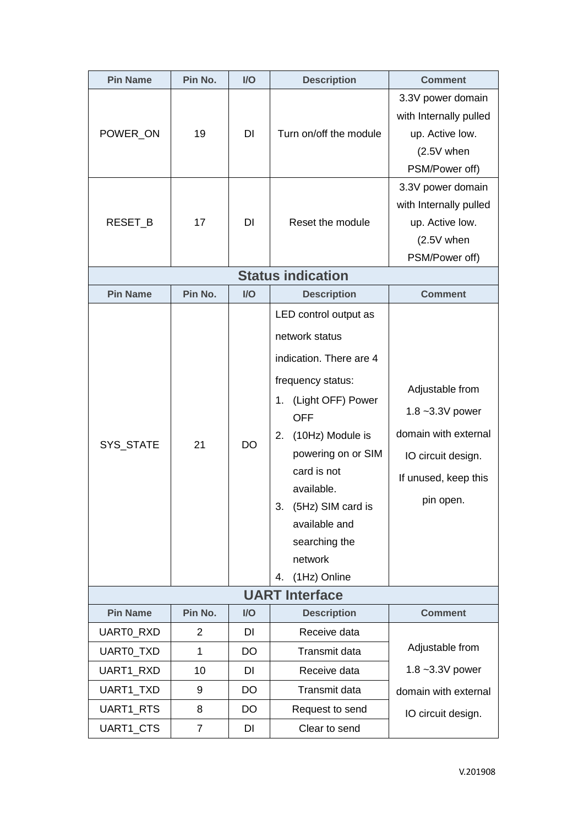| <b>Pin Name</b>        | Pin No.           | I/O             | <b>Description</b>                                                                                                                                                                                                                                                                                          | <b>Comment</b>                                                                                                       |  |  |
|------------------------|-------------------|-----------------|-------------------------------------------------------------------------------------------------------------------------------------------------------------------------------------------------------------------------------------------------------------------------------------------------------------|----------------------------------------------------------------------------------------------------------------------|--|--|
| POWER ON               | 19                | DI              | Turn on/off the module                                                                                                                                                                                                                                                                                      | 3.3V power domain<br>with Internally pulled<br>up. Active low.<br>(2.5V when<br>PSM/Power off)                       |  |  |
| RESET_B                | 17                | <b>DI</b>       | Reset the module                                                                                                                                                                                                                                                                                            | 3.3V power domain<br>with Internally pulled<br>up. Active low.<br>$(2.5V$ when<br>PSM/Power off)                     |  |  |
|                        |                   |                 | <b>Status indication</b>                                                                                                                                                                                                                                                                                    |                                                                                                                      |  |  |
| <b>Pin Name</b>        | Pin No.           | $II$            | <b>Description</b>                                                                                                                                                                                                                                                                                          | <b>Comment</b>                                                                                                       |  |  |
| SYS_STATE              | 21                | <b>DO</b>       | LED control output as<br>network status<br>indication. There are 4<br>frequency status:<br>(Light OFF) Power<br>1.<br><b>OFF</b><br>(10Hz) Module is<br>2.<br>powering on or SIM<br>card is not<br>available.<br>(5Hz) SIM card is<br>3.<br>available and<br>searching the<br>network<br>(1Hz) Online<br>4. | Adjustable from<br>1.8~3.3V power<br>domain with external<br>IO circuit design.<br>If unused, keep this<br>pin open. |  |  |
| <b>UART Interface</b>  |                   |                 |                                                                                                                                                                                                                                                                                                             |                                                                                                                      |  |  |
| <b>Pin Name</b>        | Pin No.           | I/O             | <b>Description</b>                                                                                                                                                                                                                                                                                          | <b>Comment</b>                                                                                                       |  |  |
| UARTO_RXD<br>UARTO_TXD | 2<br>$\mathbf{1}$ | DI<br><b>DO</b> | Receive data<br>Transmit data                                                                                                                                                                                                                                                                               | Adjustable from                                                                                                      |  |  |
| UART1_RXD              | 10                | DI              | Receive data                                                                                                                                                                                                                                                                                                | 1.8~3.3V power                                                                                                       |  |  |
| UART1_TXD              | 9                 | <b>DO</b>       | Transmit data                                                                                                                                                                                                                                                                                               | domain with external                                                                                                 |  |  |
| UART1_RTS              | 8                 | DO              | Request to send                                                                                                                                                                                                                                                                                             | IO circuit design.                                                                                                   |  |  |
| UART1_CTS              | 7                 | DI              | Clear to send                                                                                                                                                                                                                                                                                               |                                                                                                                      |  |  |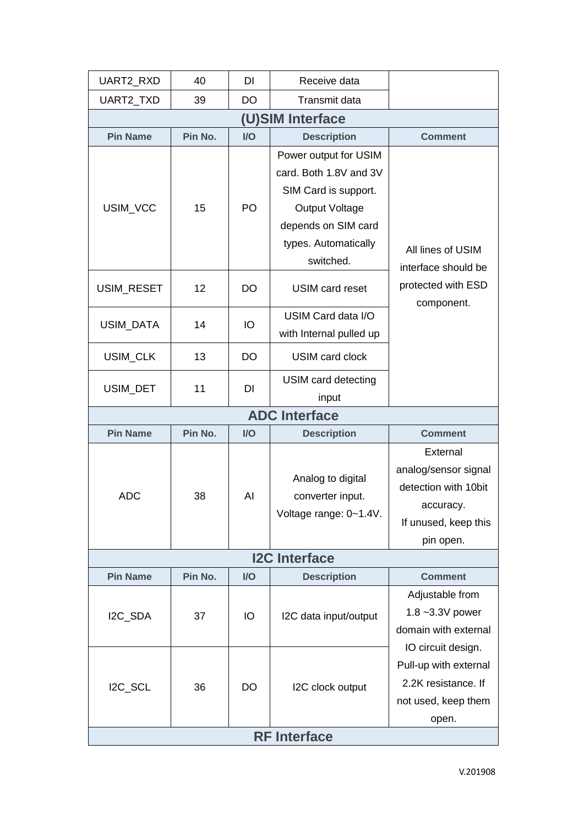| UART2_RXD            | 40      | DI             | Receive data                                                                                                                                                 |                                                                                                            |  |
|----------------------|---------|----------------|--------------------------------------------------------------------------------------------------------------------------------------------------------------|------------------------------------------------------------------------------------------------------------|--|
| UART2_TXD            | 39      | <b>DO</b>      | Transmit data                                                                                                                                                |                                                                                                            |  |
|                      |         |                | (U)SIM Interface                                                                                                                                             |                                                                                                            |  |
| <b>Pin Name</b>      | Pin No. | $\overline{U}$ | <b>Description</b>                                                                                                                                           | <b>Comment</b>                                                                                             |  |
| USIM_VCC             | 15      | PO             | Power output for USIM<br>card. Both 1.8V and 3V<br>SIM Card is support.<br><b>Output Voltage</b><br>depends on SIM card<br>types. Automatically<br>switched. | All lines of USIM<br>interface should be                                                                   |  |
| USIM_RESET           | 12      | DO             | <b>USIM card reset</b>                                                                                                                                       | protected with ESD<br>component.                                                                           |  |
| <b>USIM DATA</b>     | 14      | IO             | USIM Card data I/O<br>with Internal pulled up                                                                                                                |                                                                                                            |  |
| USIM_CLK             | 13      | DO             | USIM card clock                                                                                                                                              |                                                                                                            |  |
| USIM_DET             | 11      | DI             | USIM card detecting<br>input                                                                                                                                 |                                                                                                            |  |
|                      |         |                | <b>ADC Interface</b>                                                                                                                                         |                                                                                                            |  |
| <b>Pin Name</b>      | Pin No. | $II$           | <b>Description</b>                                                                                                                                           | <b>Comment</b>                                                                                             |  |
| <b>ADC</b>           | 38      | Al             | Analog to digital<br>converter input.<br>Voltage range: 0~1.4V.                                                                                              | External<br>analog/sensor signal<br>detection with 10bit<br>accuracy.<br>If unused, keep this<br>pin open. |  |
| <b>I2C Interface</b> |         |                |                                                                                                                                                              |                                                                                                            |  |
| <b>Pin Name</b>      | Pin No. | I/O            | <b>Description</b>                                                                                                                                           | <b>Comment</b>                                                                                             |  |
| I2C_SDA              | 37      | IO             | I2C data input/output                                                                                                                                        | Adjustable from<br>1.8~3.3V power<br>domain with external                                                  |  |
| I2C_SCL              | 36      | DO             | I2C clock output                                                                                                                                             | IO circuit design.<br>Pull-up with external<br>2.2K resistance. If<br>not used, keep them<br>open.         |  |
| <b>RF</b> Interface  |         |                |                                                                                                                                                              |                                                                                                            |  |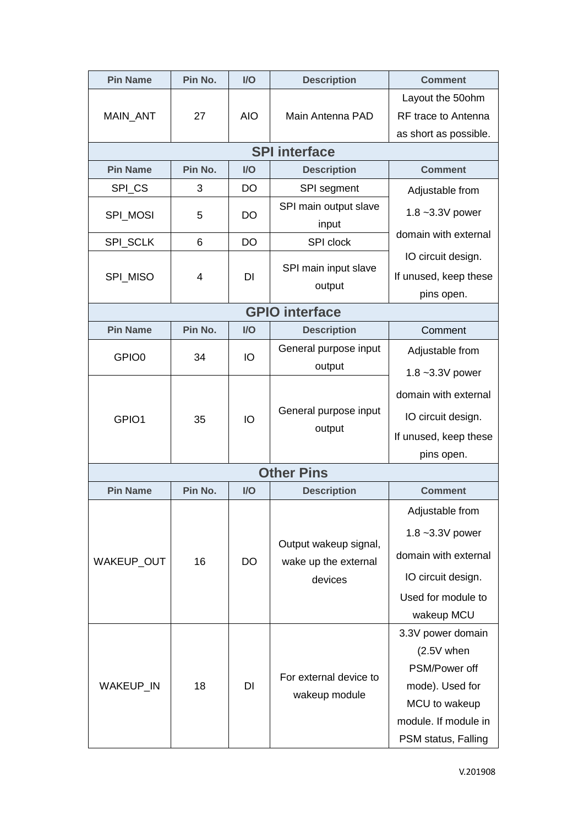| <b>Pin Name</b>   | Pin No. | $U$        | <b>Description</b>                                       | <b>Comment</b>                                                                                                                        |
|-------------------|---------|------------|----------------------------------------------------------|---------------------------------------------------------------------------------------------------------------------------------------|
| MAIN_ANT          | 27      | <b>AIO</b> | Main Antenna PAD                                         | Layout the 50 ohm<br>RF trace to Antenna                                                                                              |
|                   |         |            | <b>SPI</b> interface                                     | as short as possible.                                                                                                                 |
| <b>Pin Name</b>   | Pin No. | $U$        | <b>Description</b>                                       | <b>Comment</b>                                                                                                                        |
| SPI_CS            | 3       | DO         | SPI segment                                              | Adjustable from                                                                                                                       |
| SPI_MOSI          | 5       | DO         | SPI main output slave<br>input                           | 1.8~3.3V power                                                                                                                        |
| SPI_SCLK          | 6       | <b>DO</b>  | SPI clock                                                | domain with external                                                                                                                  |
| SPI MISO          | 4       | DI         | SPI main input slave<br>output                           | IO circuit design.<br>If unused, keep these<br>pins open.                                                                             |
|                   |         |            | <b>GPIO interface</b>                                    |                                                                                                                                       |
| <b>Pin Name</b>   | Pin No. | I/O        | <b>Description</b>                                       | Comment                                                                                                                               |
| GPIO <sub>0</sub> | 34      | IO         | General purpose input<br>output                          | Adjustable from<br>1.8~3.3V power                                                                                                     |
| GPIO1             | 35      | IO         | General purpose input<br>output                          | domain with external<br>IO circuit design.<br>If unused, keep these<br>pins open.                                                     |
|                   |         |            | <b>Other Pins</b>                                        |                                                                                                                                       |
| <b>Pin Name</b>   | Pin No. | $U$        | <b>Description</b>                                       | <b>Comment</b>                                                                                                                        |
| WAKEUP_OUT        | 16      | <b>DO</b>  | Output wakeup signal,<br>wake up the external<br>devices | Adjustable from<br>1.8~3.3V power<br>domain with external<br>IO circuit design.<br>Used for module to<br>wakeup MCU                   |
| WAKEUP_IN         | 18      | DI         | For external device to<br>wakeup module                  | 3.3V power domain<br>$(2.5V$ when<br>PSM/Power off<br>mode). Used for<br>MCU to wakeup<br>module. If module in<br>PSM status, Falling |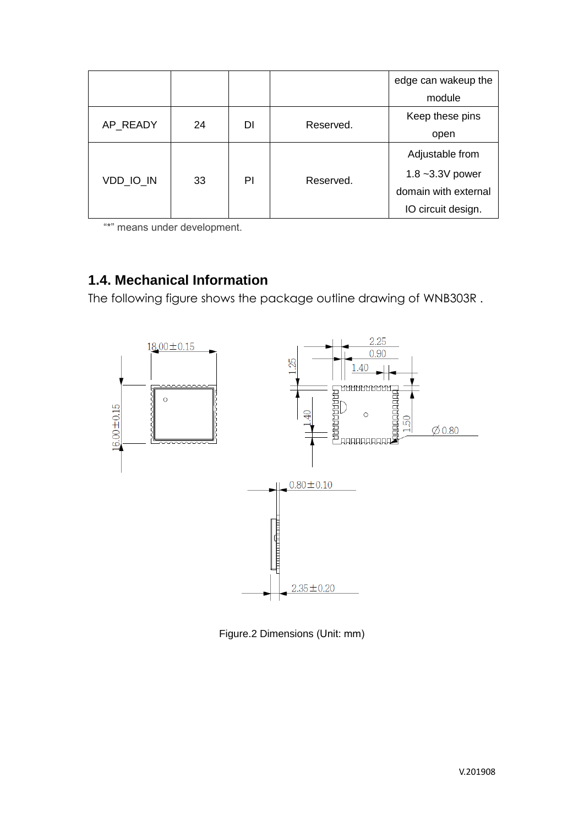|           |    |    |           | edge can wakeup the  |                 |
|-----------|----|----|-----------|----------------------|-----------------|
|           |    |    |           | module               |                 |
|           |    |    |           |                      | Keep these pins |
| AP_READY  | 24 | DI | Reserved. | open                 |                 |
| VDD IO IN | 33 | ΡI | Reserved. | Adjustable from      |                 |
|           |    |    |           | 1.8 $~23.3V$ power   |                 |
|           |    |    |           | domain with external |                 |
|           |    |    |           | IO circuit design.   |                 |

"\*" means under development.

## **1.4. Mechanical Information**

The following figure shows the package outline drawing of WNB303R .



Figure.2 Dimensions (Unit: mm)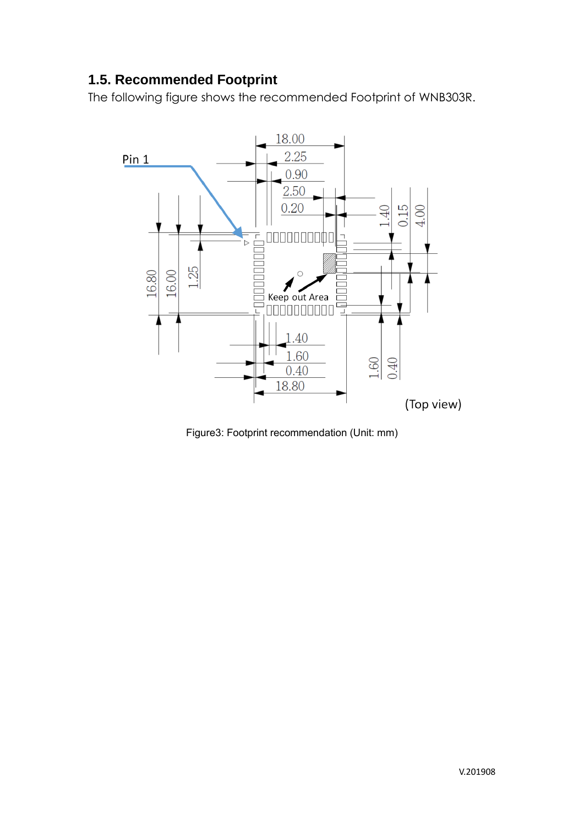## **1.5. Recommended Footprint**

The following figure shows the recommended Footprint of WNB303R.



Figure3: Footprint recommendation (Unit: mm)